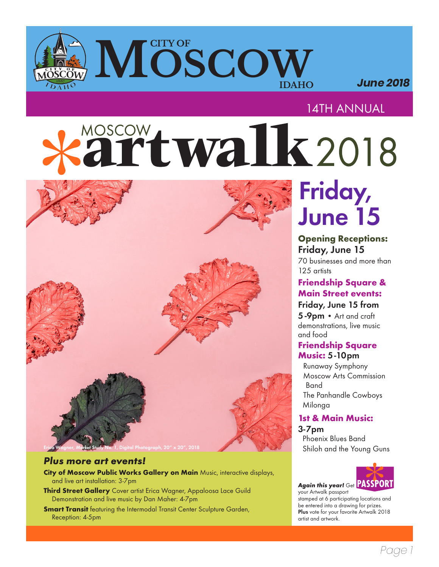# **CITY OF SCOW IDAHO**

 *June 2018*

# 14TH ANNUAL

# MOSCOW twalk 2018



### *Plus more art events!*

- **City of Moscow Public Works Gallery on Main** Music, interactive displays, and live art installation: 3-7pm
- **Third Street Gallery** Cover artist Erica Wagner, Appaloosa Lace Guild Demonstration and live music by Dan Maher: 4-7pm
- **Smart Transit** featuring the Intermodal Transit Center Sculpture Garden, Reception: 4-5pm

# Friday, June 15

#### **Opening Receptions:**  Friday, June 15

70 businesses and more than 125 artists

# **Friendship Square & Main Street events:**

Friday, June 15 from 5-9pm • Art and craft

demonstrations, live music and food

#### **Friendship Square Music:** 5-10pm

Runaway Symphony Moscow Arts Commission Band The Panhandle Cowboys Milonga

# **1st & Main Music:**

3-7pm Phoenix Blues Band Shiloh and the Young Guns



*Again this year!* Get your Artwalk passport stamped at 6 participating locations and be entered into a drawing for prizes. Plus vote for your favorite Artwalk 2018 artist and artwork.